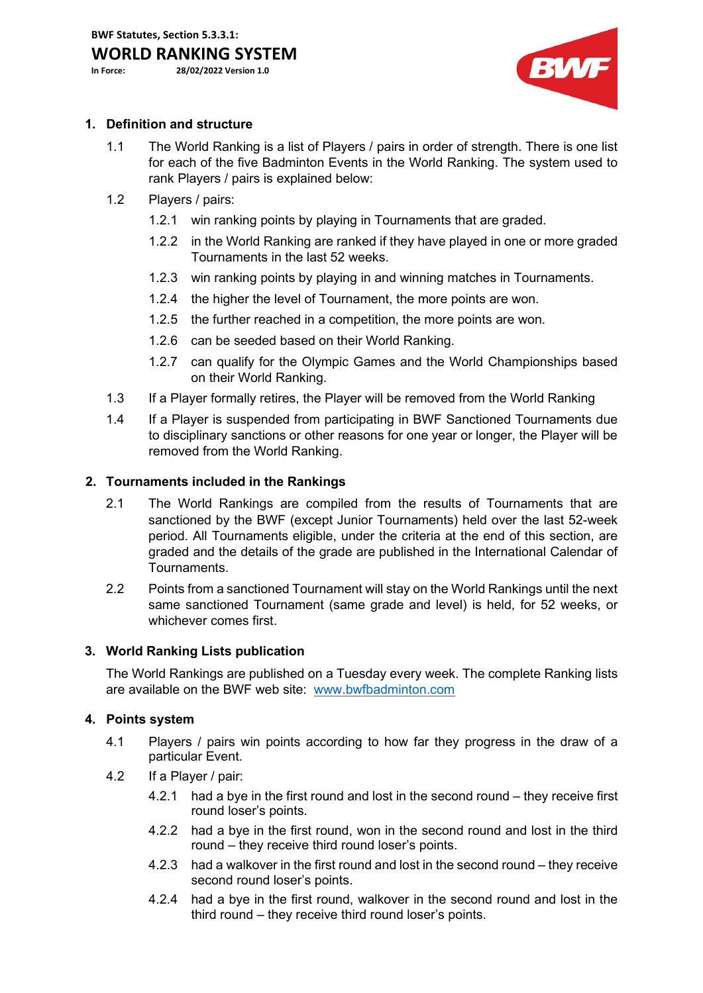# **WORLD RANKING SYSTEM**<br>In Force: 28/02/2022 Version 1.0

**In Force: 28/02/2022 Version 1.0**

BWF

## **1. Definition and structure**

- 1.1 The World Ranking is a list of Players / pairs in order of strength. There is one list for each of the five Badminton Events in the World Ranking. The system used to rank Players / pairs is explained below:
- 1.2 Players / pairs:
	- 1.2.1 win ranking points by playing in Tournaments that are graded.
	- 1.2.2 in the World Ranking are ranked if they have played in one or more graded Tournaments in the last 52 weeks.
	- 1.2.3 win ranking points by playing in and winning matches in Tournaments.
	- 1.2.4 the higher the level of Tournament, the more points are won.
	- 1.2.5 the further reached in a competition, the more points are won.
	- 1.2.6 can be seeded based on their World Ranking.
	- 1.2.7 can qualify for the Olympic Games and the World Championships based on their World Ranking.
- 1.3 If a Player formally retires, the Player will be removed from the World Ranking
- 1.4 If a Player is suspended from participating in BWF Sanctioned Tournaments due to disciplinary sanctions or other reasons for one year or longer, the Player will be removed from the World Ranking.

## **2. Tournaments included in the Rankings**

- 2.1 The World Rankings are compiled from the results of Tournaments that are sanctioned by the BWF (except Junior Tournaments) held over the last 52-week period. All Tournaments eligible, under the criteria at the end of this section, are graded and the details of the grade are published in the International Calendar of Tournaments.
- 2.2 Points from a sanctioned Tournament will stay on the World Rankings until the next same sanctioned Tournament (same grade and level) is held, for 52 weeks, or whichever comes first.

#### **3. World Ranking Lists publication**

The World Rankings are published on a Tuesday every week. The complete Ranking lists are available on the BWF web site: [www.bwfbadminton.com](http://www.bwfbadminton.com/) 

#### **4. Points system**

- 4.1 Players / pairs win points according to how far they progress in the draw of a particular Event.
- 4.2 If a Player / pair:
	- 4.2.1 had a bye in the first round and lost in the second round they receive first round loser's points.
	- 4.2.2 had a bye in the first round, won in the second round and lost in the third round – they receive third round loser's points.
	- 4.2.3 had a walkover in the first round and lost in the second round they receive second round loser's points.
	- 4.2.4 had a bye in the first round, walkover in the second round and lost in the third round – they receive third round loser's points.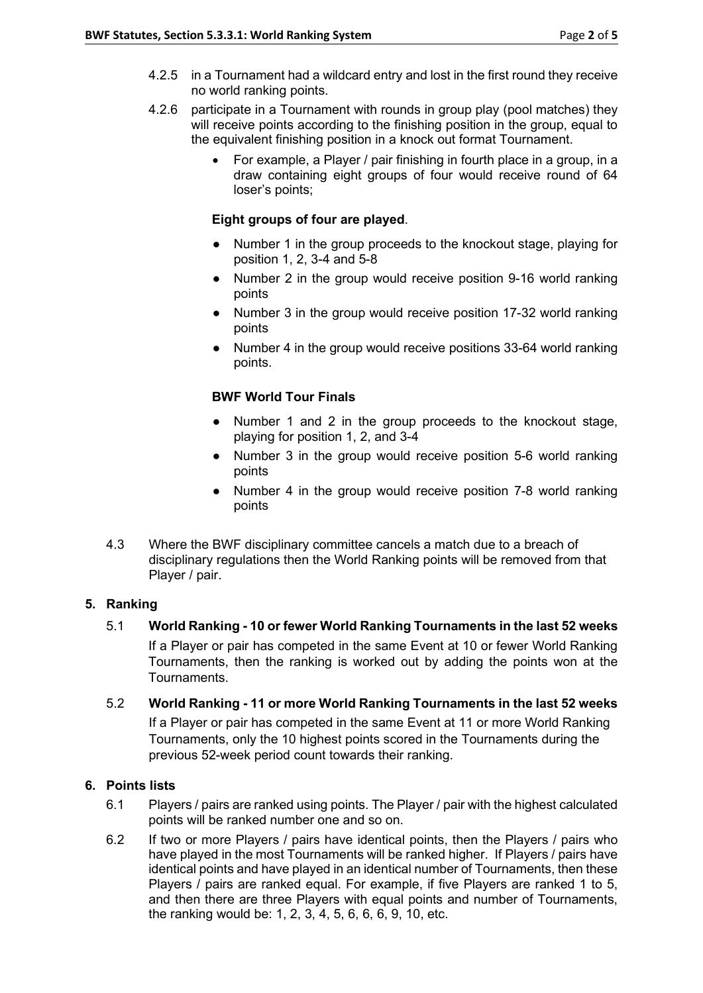- 4.2.5 in a Tournament had a wildcard entry and lost in the first round they receive no world ranking points.
- 4.2.6 participate in a Tournament with rounds in group play (pool matches) they will receive points according to the finishing position in the group, equal to the equivalent finishing position in a knock out format Tournament.
	- For example, a Player / pair finishing in fourth place in a group, in a draw containing eight groups of four would receive round of 64 loser's points;

### **Eight groups of four are played**.

- Number 1 in the group proceeds to the knockout stage, playing for position 1, 2, 3-4 and 5-8
- Number 2 in the group would receive position 9-16 world ranking points
- Number 3 in the group would receive position 17-32 world ranking points
- Number 4 in the group would receive positions 33-64 world ranking points.

## **BWF World Tour Finals**

- Number 1 and 2 in the group proceeds to the knockout stage, playing for position 1, 2, and 3-4
- Number 3 in the group would receive position 5-6 world ranking points
- Number 4 in the group would receive position 7-8 world ranking points
- 4.3 Where the BWF disciplinary committee cancels a match due to a breach of disciplinary regulations then the World Ranking points will be removed from that Player / pair.

#### **5. Ranking**

5.1 **World Ranking - 10 or fewer World Ranking Tournaments in the last 52 weeks**

If a Player or pair has competed in the same Event at 10 or fewer World Ranking Tournaments, then the ranking is worked out by adding the points won at the Tournaments.

5.2 **World Ranking - 11 or more World Ranking Tournaments in the last 52 weeks** If a Player or pair has competed in the same Event at 11 or more World Ranking Tournaments, only the 10 highest points scored in the Tournaments during the previous 52-week period count towards their ranking.

#### **6. Points lists**

- 6.1 Players / pairs are ranked using points. The Player / pair with the highest calculated points will be ranked number one and so on.
- 6.2 If two or more Players / pairs have identical points, then the Players / pairs who have played in the most Tournaments will be ranked higher. If Players / pairs have identical points and have played in an identical number of Tournaments, then these Players / pairs are ranked equal. For example, if five Players are ranked 1 to 5, and then there are three Players with equal points and number of Tournaments, the ranking would be: 1, 2, 3, 4, 5, 6, 6, 6, 9, 10, etc.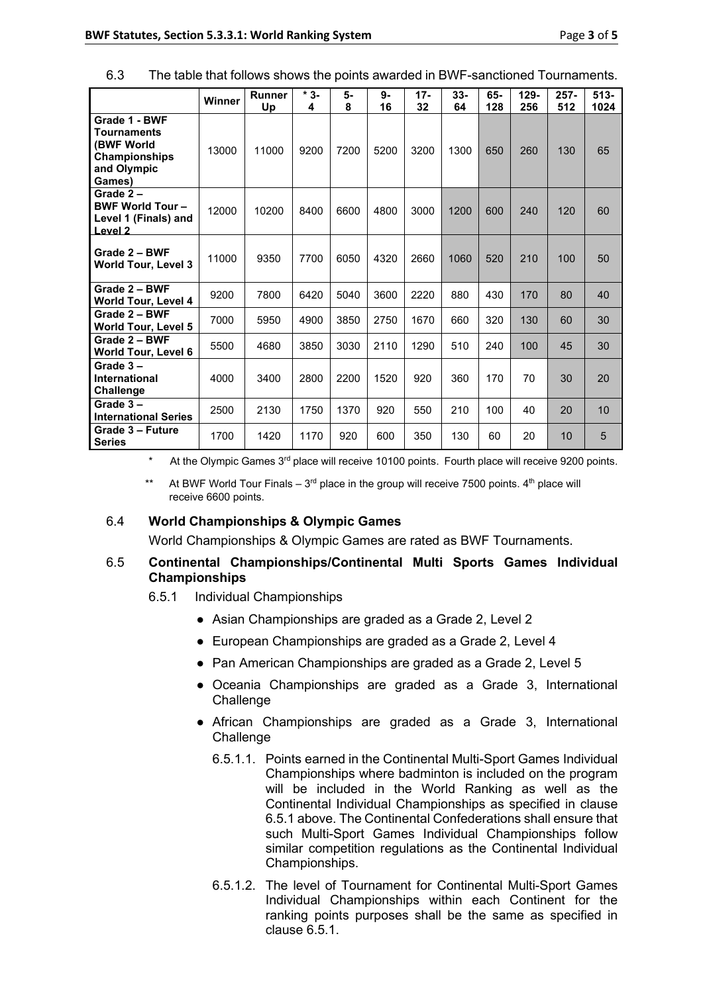6.3 The table that follows shows the points awarded in BWF-sanctioned Tournaments.

|                                                                                             | Winner | <b>Runner</b><br>Up | $*3-$<br>4 | 5-<br>8 | $9-$<br>16 | $17-$<br>32 | $33 -$<br>64 | 65-<br>128 | $129 -$<br>256 | $257 -$<br>512 | $513 -$<br>1024 |
|---------------------------------------------------------------------------------------------|--------|---------------------|------------|---------|------------|-------------|--------------|------------|----------------|----------------|-----------------|
| Grade 1 - BWF<br><b>Tournaments</b><br>(BWF World<br>Championships<br>and Olympic<br>Games) | 13000  | 11000               | 9200       | 7200    | 5200       | 3200        | 1300         | 650        | 260            | 130            | 65              |
| Grade $2-$<br><b>BWF World Tour-</b><br>Level 1 (Finals) and<br>Level <sub>2</sub>          | 12000  | 10200               | 8400       | 6600    | 4800       | 3000        | 1200         | 600        | 240            | 120            | 60              |
| Grade 2 - BWF<br><b>World Tour, Level 3</b>                                                 | 11000  | 9350                | 7700       | 6050    | 4320       | 2660        | 1060         | 520        | 210            | 100            | 50              |
| Grade 2 - BWF<br><b>World Tour, Level 4</b>                                                 | 9200   | 7800                | 6420       | 5040    | 3600       | 2220        | 880          | 430        | 170            | 80             | 40              |
| Grade 2 - BWF<br>World Tour, Level 5                                                        | 7000   | 5950                | 4900       | 3850    | 2750       | 1670        | 660          | 320        | 130            | 60             | 30              |
| Grade 2 - BWF<br>World Tour, Level 6                                                        | 5500   | 4680                | 3850       | 3030    | 2110       | 1290        | 510          | 240        | 100            | 45             | 30              |
| Grade $3 -$<br>International<br><b>Challenge</b>                                            | 4000   | 3400                | 2800       | 2200    | 1520       | 920         | 360          | 170        | 70             | 30             | 20              |
| Grade $3-$<br><b>International Series</b>                                                   | 2500   | 2130                | 1750       | 1370    | 920        | 550         | 210          | 100        | 40             | 20             | 10              |
| Grade 3 - Future<br><b>Series</b>                                                           | 1700   | 1420                | 1170       | 920     | 600        | 350         | 130          | 60         | 20             | 10             | 5               |

At the Olympic Games  $3<sup>rd</sup>$  place will receive 10100 points. Fourth place will receive 9200 points.

\*\* At BWF World Tour Finals –  $3<sup>rd</sup>$  place in the group will receive 7500 points.  $4<sup>th</sup>$  place will receive 6600 points.

#### 6.4 **World Championships & Olympic Games**

World Championships & Olympic Games are rated as BWF Tournaments.

## 6.5 **Continental Championships/Continental Multi Sports Games Individual Championships**

- 6.5.1 Individual Championships
	- Asian Championships are graded as a Grade 2, Level 2
	- European Championships are graded as a Grade 2, Level 4
	- Pan American Championships are graded as a Grade 2, Level 5
	- Oceania Championships are graded as a Grade 3, International **Challenge**
	- African Championships are graded as a Grade 3, International **Challenge** 
		- 6.5.1.1. Points earned in the Continental Multi-Sport Games Individual Championships where badminton is included on the program will be included in the World Ranking as well as the Continental Individual Championships as specified in clause 6.5.1 above. The Continental Confederations shall ensure that such Multi-Sport Games Individual Championships follow similar competition regulations as the Continental Individual Championships.
		- 6.5.1.2. The level of Tournament for Continental Multi-Sport Games Individual Championships within each Continent for the ranking points purposes shall be the same as specified in clause 6.5.1.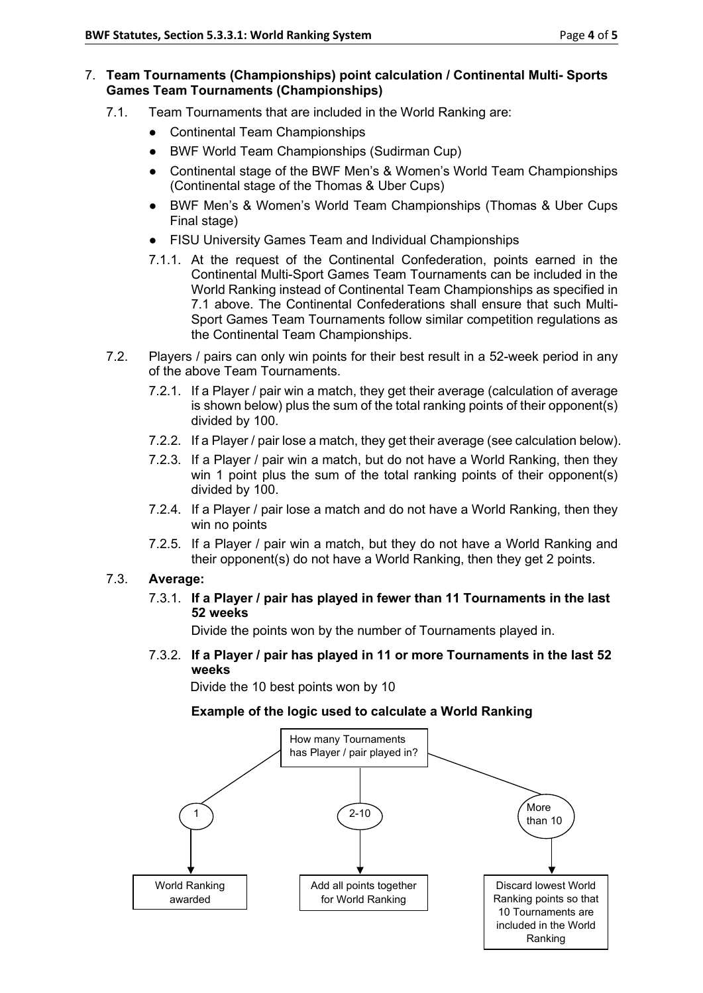#### 7. **Team Tournaments (Championships) point calculation / Continental Multi- Sports Games Team Tournaments (Championships)**

- 7.1. Team Tournaments that are included in the World Ranking are:
	- Continental Team Championships
	- **BWF World Team Championships (Sudirman Cup)**
	- Continental stage of the BWF Men's & Women's World Team Championships (Continental stage of the Thomas & Uber Cups)
	- BWF Men's & Women's World Team Championships (Thomas & Uber Cups Final stage)
	- FISU University Games Team and Individual Championships
	- 7.1.1. At the request of the Continental Confederation, points earned in the Continental Multi-Sport Games Team Tournaments can be included in the World Ranking instead of Continental Team Championships as specified in 7.1 above. The Continental Confederations shall ensure that such Multi-Sport Games Team Tournaments follow similar competition regulations as the Continental Team Championships.
- 7.2. Players / pairs can only win points for their best result in a 52-week period in any of the above Team Tournaments.
	- 7.2.1. If a Player / pair win a match, they get their average (calculation of average is shown below) plus the sum of the total ranking points of their opponent(s) divided by 100.
	- 7.2.2. If a Player / pair lose a match, they get their average (see calculation below).
	- 7.2.3. If a Player / pair win a match, but do not have a World Ranking, then they win 1 point plus the sum of the total ranking points of their opponent(s) divided by 100.
	- 7.2.4. If a Player / pair lose a match and do not have a World Ranking, then they win no points
	- 7.2.5. If a Player / pair win a match, but they do not have a World Ranking and their opponent(s) do not have a World Ranking, then they get 2 points.

## 7.3. **Average:**

7.3.1. **If a Player / pair has played in fewer than 11 Tournaments in the last 52 weeks**

Divide the points won by the number of Tournaments played in.

7.3.2. **If a Player / pair has played in 11 or more Tournaments in the last 52 weeks**

Divide the 10 best points won by 10

## **Example of the logic used to calculate a World Ranking**